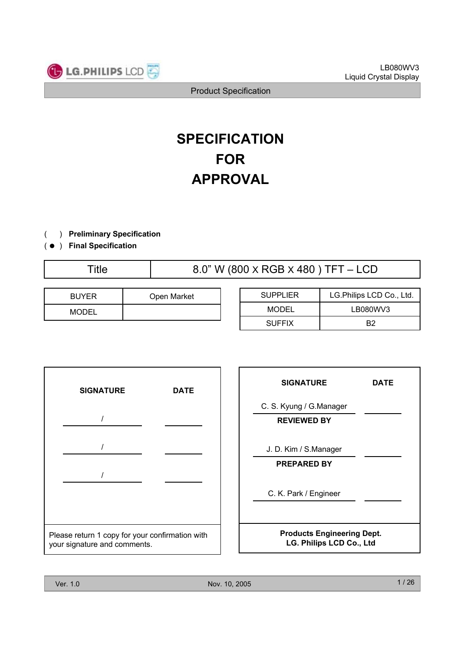

# **SPECIFICATION FOR APPROVAL**

- ) **Preliminary Specification**  $\left($
- ) ( **Final Specification**

Title  $8.0$ " W (800 X RGB X 480 ) TFT – LCD

| <b>BUYER</b> | Open Market |
|--------------|-------------|
| <b>MODEL</b> |             |

| <b>SUPPLIER</b> | LG.Philips LCD Co., Ltd. |  |  |
|-----------------|--------------------------|--|--|
| MODEL           | LB080WV3                 |  |  |
| <b>SUFFIX</b>   | R2                       |  |  |



| <b>SIGNATURE</b>                                              | DATE |  |  |  |  |  |
|---------------------------------------------------------------|------|--|--|--|--|--|
| C. S. Kyung / G. Manager<br><b>REVIEWED BY</b>                |      |  |  |  |  |  |
| J. D. Kim / S.Manager<br><b>PREPARED BY</b>                   |      |  |  |  |  |  |
| C. K. Park / Engineer                                         |      |  |  |  |  |  |
| <b>Products Engineering Dept.</b><br>LG. Philips LCD Co., Ltd |      |  |  |  |  |  |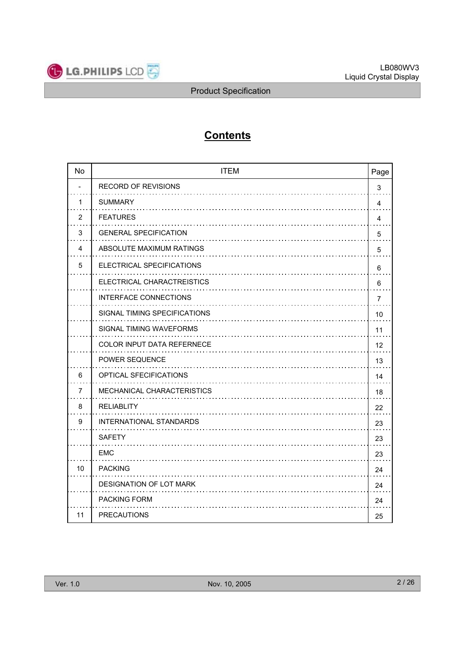

# **Contents**

| <b>No</b> | <b>ITEM</b>                   | Page |
|-----------|-------------------------------|------|
|           | <b>RECORD OF REVISIONS</b>    | 3    |
| 1         | <b>SUMMARY</b>                | 4    |
| 2         | <b>FEATURES</b>               | 4    |
| 3         | <b>GENERAL SPECIFICATION</b>  | 5    |
| 4         | ABSOLUTE MAXIMUM RATINGS      | 5    |
| 5         | ELECTRICAL SPECIFICATIONS     | 6    |
|           | ELECTRICAL CHARACTREISTICS    | 6    |
|           | INTERFACE CONNECTIONS         | 7    |
|           | SIGNAL TIMING SPECIFICATIONS  | 10   |
|           | SIGNAL TIMING WAVEFORMS       | 11   |
|           | COLOR INPUT DATA REFERNECE    | 12   |
|           | <b>POWER SEQUENCE</b>         | 13   |
| 6         | <b>OPTICAL SFECIFICATIONS</b> | 14   |
| 7         | MECHANICAL CHARACTERISTICS    | 18   |
| 8         | <b>RELIABLITY</b>             | 22   |
| 9         | INTERNATIONAL STANDARDS       | 23   |
|           | <b>SAFETY</b>                 | 23   |
|           | <b>EMC</b>                    | 23   |
| 10        | <b>PACKING</b>                | 24   |
|           | DESIGNATION OF LOT MARK       | 24   |
|           | PACKING FORM                  | 24   |
| 11        | <b>PRECAUTIONS</b>            | 25   |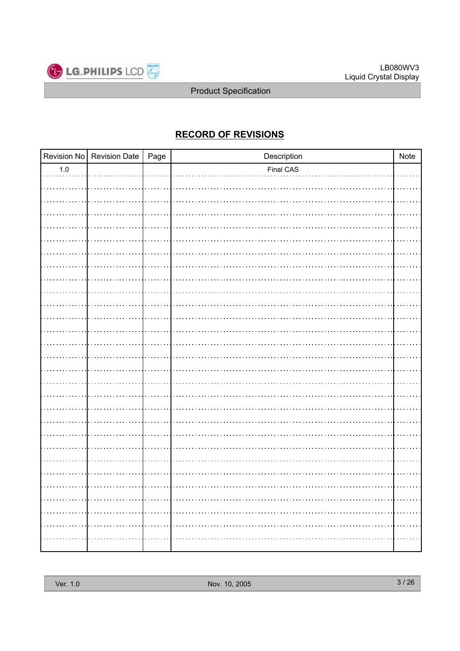

# **RECORD OF REVISIONS**

|         | Revision No Revision Date   Page | Description | Note |
|---------|----------------------------------|-------------|------|
| $1.0\,$ |                                  | Final CAS   |      |
|         |                                  |             |      |
|         |                                  |             |      |
|         |                                  |             |      |
|         |                                  |             |      |
|         |                                  |             |      |
|         |                                  |             |      |
|         |                                  |             |      |
|         |                                  |             |      |
|         |                                  |             |      |
|         |                                  |             |      |
|         |                                  |             |      |
|         |                                  |             |      |
|         |                                  |             |      |
|         |                                  |             |      |
|         |                                  |             |      |
|         |                                  |             |      |
|         |                                  |             |      |
|         |                                  |             |      |
|         |                                  |             |      |
|         |                                  |             |      |
|         |                                  |             |      |
|         |                                  |             |      |
|         |                                  |             |      |
|         |                                  |             |      |
|         |                                  |             |      |
|         |                                  |             |      |
|         |                                  |             |      |
|         |                                  |             |      |
|         |                                  |             |      |
|         |                                  |             |      |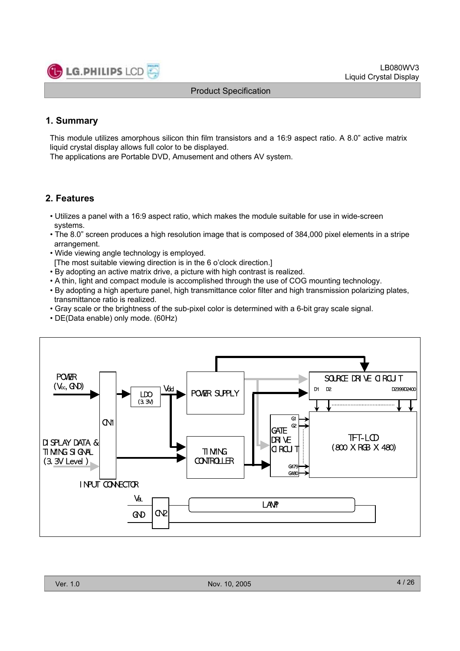

# **1. Summary**

This module utilizes amorphous silicon thin film transistors and a 16:9 aspect ratio. A 8.0" active matrix liquid crystal display allows full color to be displayed.

The applications are Portable DVD, Amusement and others AV system.

# **2. Features**

- Utilizes a panel with a 16:9 aspect ratio, which makes the module suitable for use in wide-screen systems.
- The 8.0" screen produces a high resolution image that is composed of 384,000 pixel elements in a stripe arrangement.
- Wide viewing angle technology is employed.
- [The most suitable viewing direction is in the 6 o'clock direction.]
- By adopting an active matrix drive, a picture with high contrast is realized.
- A thin, light and compact module is accomplished through the use of COG mounting technology.
- By adopting a high aperture panel, high transmittance color filter and high transmission polarizing plates, transmittance ratio is realized.
- Gray scale or the brightness of the sub-pixel color is determined with a 6-bit gray scale signal.
- DE(Data enable) only mode. (60Hz)

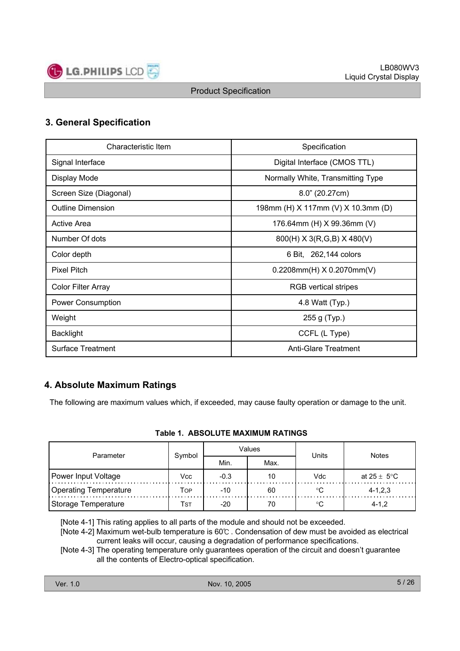

# **3. General Specification**

| Characteristic Item       | Specification                      |  |  |  |
|---------------------------|------------------------------------|--|--|--|
| Signal Interface          | Digital Interface (CMOS TTL)       |  |  |  |
| Display Mode              | Normally White, Transmitting Type  |  |  |  |
| Screen Size (Diagonal)    | 8.0" (20.27cm)                     |  |  |  |
| <b>Outline Dimension</b>  | 198mm (H) X 117mm (V) X 10.3mm (D) |  |  |  |
| <b>Active Area</b>        | 176.64mm (H) X 99.36mm (V)         |  |  |  |
| Number Of dots            | 800(H) X 3(R,G,B) X 480(V)         |  |  |  |
| Color depth               | 6 Bit, 262,144 colors              |  |  |  |
| <b>Pixel Pitch</b>        | $0.2208$ mm $(H)$ X 0.2070mm $(V)$ |  |  |  |
| <b>Color Filter Array</b> | <b>RGB</b> vertical stripes        |  |  |  |
| Power Consumption         | 4.8 Watt (Typ.)                    |  |  |  |
| Weight                    | 255 g (Typ.)                       |  |  |  |
| <b>Backlight</b>          | CCFL (L Type)                      |  |  |  |
| <b>Surface Treatment</b>  | <b>Anti-Glare Treatment</b>        |  |  |  |

# **4. Absolute Maximum Ratings**

The following are maximum values which, if exceeded, may cause faulty operation or damage to the unit.

|  |  | Table 1. ABSOLUTE MAXIMUM RATINGS |  |  |
|--|--|-----------------------------------|--|--|
|--|--|-----------------------------------|--|--|

| Parameter             | Symbol |        | Values | Units | <b>Notes</b>            |  |
|-----------------------|--------|--------|--------|-------|-------------------------|--|
|                       |        | Min.   | Max.   |       |                         |  |
| Power Input Voltage   | Vcc    | $-0.3$ |        | Vdc   | at $25 \pm 5^{\circ}$ C |  |
| Operating Temperature | Top    | $-10$  | 60     |       | $4 - 1, 2, 3$           |  |
| Storage Temperature   | Tst    | $-20$  |        |       | $4 - 1.2$               |  |

[Note 4-1] This rating applies to all parts of the module and should not be exceeded.

[Note 4-2] Maximum wet-bulb temperature is 60℃ . Condensation of dew must be avoided as electrical current leaks will occur, causing a degradation of performance specifications.

[Note 4-3] The operating temperature only guarantees operation of the circuit and doesn't guarantee all the contents of Electro-optical specification.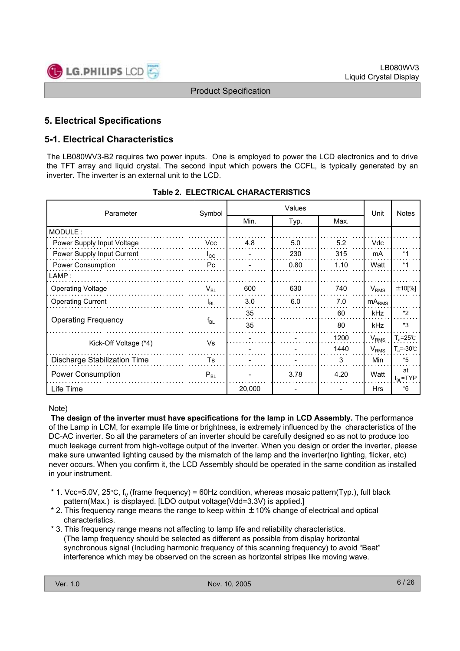

# **5. Electrical Specifications**

# **5-1. Electrical Characteristics**

The LB080WV3-B2 requires two power inputs. One is employed to power the LCD electronics and to drive the TFT array and liquid crystal. The second input which powers the CCFL, is typically generated by an inverter. The inverter is an external unit to the LCD.

| Parameter                    | Symbol       | Values |      |      | Unit              | <b>Notes</b>              |
|------------------------------|--------------|--------|------|------|-------------------|---------------------------|
|                              |              | Min.   | Typ. | Max. |                   |                           |
| MODULE:                      |              |        |      |      |                   |                           |
| Power Supply Input Voltage   | <b>Vcc</b>   | 4.8    | 5.0  | 5.2  | Vdc               |                           |
| Power Supply Input Current   | $I_{\rm CC}$ |        | 230  | 315  | mA                | $*1$                      |
| Power Consumption            | Pc.          |        | 0.80 | 1.10 | Watt              | $*1$                      |
| LAMP:                        |              |        |      |      |                   |                           |
| <b>Operating Voltage</b>     | $V_{BL}$     | 600    | 630  | 740  | $V_{RMS}$         | $\pm$ 10[%]               |
| <b>Operating Current</b>     | $I_{BL}$     | 3.0    | 6.0  | 7.0  | mA <sub>RMS</sub> |                           |
|                              |              | 35     |      | 60   | <b>kHz</b>        | *2                        |
| <b>Operating Frequency</b>   | $f_{BL}$     | 35     |      | 80   | kHz               | $*3$                      |
|                              | Vs           |        |      | 1200 | $V_{RMS}$         | $T_a = 25^\circ \text{C}$ |
| Kick-Off Voltage (*4)        |              |        |      | 1440 | $V_{RMS}$         | $T_s = -30^\circ C$       |
| Discharge Stabilization Time | Ts           |        |      | 3    | Min               | $*5$                      |
| <b>Power Consumption</b>     | $P_{BL}$     |        | 3.78 | 4.20 | Watt              | at<br>$I_{BL}$ =TYP       |
| Life Time                    |              | 20,000 |      |      | <b>Hrs</b>        | $*6$                      |

### **Table 2. ELECTRICAL CHARACTERISTICS**

### Note)

**The design of the inverter must have specifications for the lamp in LCD Assembly.** The performance of the Lamp in LCM, for example life time or brightness, is extremely influenced by the characteristics of the DC-AC inverter. So all the parameters of an inverter should be carefully designed so as not to produce too much leakage current from high-voltage output of the inverter. When you design or order the inverter, please make sure unwanted lighting caused by the mismatch of the lamp and the inverter(no lighting, flicker, etc) never occurs. When you confirm it, the LCD Assembly should be operated in the same condition as installed in your instrument.

- \* 1. Vcc=5.0V, 25 $\degree$ C, f<sub>V</sub> (frame frequency) = 60Hz condition, whereas mosaic pattern(Typ.), full black pattern(Max.) is displayed. [LDO output voltage(Vdd=3.3V) is applied.]
- \* 2. This frequency range means the range to keep within ±10% change of electrical and optical characteristics.
- \* 3. This frequency range means not affecting to lamp life and reliability characteristics. (The lamp frequency should be selected as different as possible from display horizontal synchronous signal (Including harmonic frequency of this scanning frequency) to avoid "Beat" interference which may be observed on the screen as horizontal stripes like moving wave.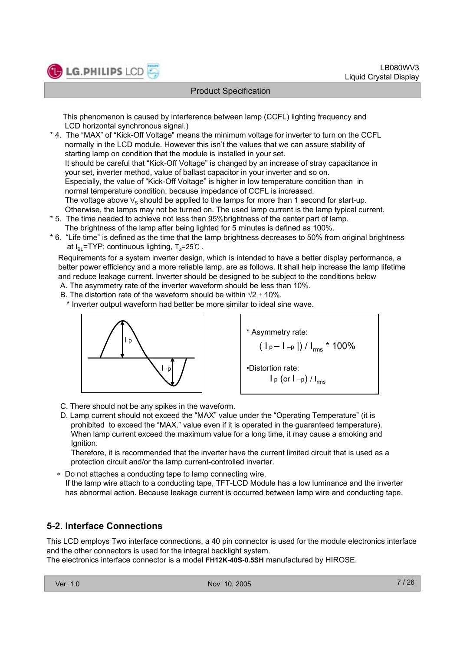

This phenomenon is caused by interference between lamp (CCFL) lighting frequency and LCD horizontal synchronous signal.)

- . \* 4. The "MAX" of "Kick-Off Voltage" means the minimum voltage for inverter to turn on the CCFL normally in the LCD module. However this isn't the values that we can assure stability of starting lamp on condition that the module is installed in your set. It should be careful that "Kick-Off Voltage" is changed by an increase of stray capacitance in your set, inverter method, value of ballast capacitor in your inverter and so on. Especially, the value of "Kick-Off Voltage" is higher in low temperature condition than in normal temperature condition, because impedance of CCFL is increased. The voltage above  $V_s$  should be applied to the lamps for more than 1 second for start-up. Otherwise, the lamps may not be turned on. The used lamp current is the lamp typical current.
- \* 5. The time needed to achieve not less than 95%brightness of the center part of lamp. The brightness of the lamp after being lighted for 5 minutes is defined as 100%.
- \* 6. "Life time" is defined as the time that the lamp brightness decreases to 50% from original brightness at  $I_{BI}$ =TYP; continuous lighting, T<sub>a</sub>=25℃ .

Requirements for a system inverter design, which is intended to have a better display performance, a better power efficiency and a more reliable lamp, are as follows. It shall help increase the lamp lifetime and reduce leakage current. Inverter should be designed to be subject to the conditions below

- A. The asymmetry rate of the inverter waveform should be less than 10%.
- B. The distortion rate of the waveform should be within  $\sqrt{2} \pm 10\%$ .
	- \* Inverter output waveform had better be more similar to ideal sine wave.





- C. There should not be any spikes in the waveform.
- D. Lamp current should not exceed the "MAX" value under the "Operating Temperature" (it is prohibited to exceed the "MAX." value even if it is operated in the guaranteed temperature). When lamp current exceed the maximum value for a long time, it may cause a smoking and Ignition.

Therefore, it is recommended that the inverter have the current limited circuit that is used as a protection circuit and/or the lamp current-controlled inverter.

 Do not attaches a conducting tape to lamp connecting wire. If the lamp wire attach to a conducting tape, TFT-LCD Module has a low luminance and the inverter has abnormal action. Because leakage current is occurred between lamp wire and conducting tape.

# **5-2. Interface Connections**

This LCD employs Two interface connections, a 40 pin connector is used for the module electronics interface and the other connectors is used for the integral backlight system.

The electronics interface connector is a model **FH12K-40S-0.5SH** manufactured by HIROSE.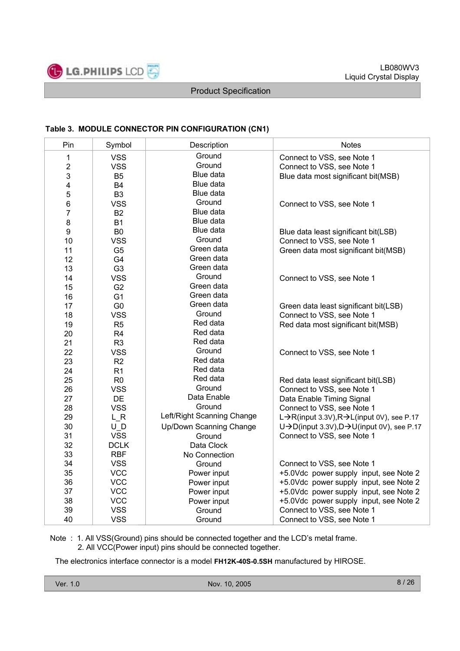

### **Table 3. MODULE CONNECTOR PIN CONFIGURATION (CN1)**

| Pin                     | Symbol         | Description                | <b>Notes</b>                                                         |
|-------------------------|----------------|----------------------------|----------------------------------------------------------------------|
| 1                       | <b>VSS</b>     | Ground                     | Connect to VSS, see Note 1                                           |
| $\sqrt{2}$              | <b>VSS</b>     | Ground                     | Connect to VSS, see Note 1                                           |
| 3                       | B <sub>5</sub> | Blue data                  | Blue data most significant bit(MSB)                                  |
| $\overline{\mathbf{4}}$ | <b>B4</b>      | Blue data                  |                                                                      |
| 5                       | B <sub>3</sub> | Blue data                  |                                                                      |
| $\,6$                   | <b>VSS</b>     | Ground                     | Connect to VSS, see Note 1                                           |
| 7                       | <b>B2</b>      | Blue data                  |                                                                      |
| 8                       | <b>B1</b>      | Blue data                  |                                                                      |
| $\boldsymbol{9}$        | B <sub>0</sub> | Blue data                  | Blue data least significant bit(LSB)                                 |
| 10                      | <b>VSS</b>     | Ground                     | Connect to VSS, see Note 1                                           |
| 11                      | G <sub>5</sub> | Green data                 | Green data most significant bit(MSB)                                 |
| 12                      | G4             | Green data                 |                                                                      |
| 13                      | G <sub>3</sub> | Green data                 |                                                                      |
| 14                      | <b>VSS</b>     | Ground                     | Connect to VSS, see Note 1                                           |
| 15                      | G <sub>2</sub> | Green data                 |                                                                      |
| 16                      | G <sub>1</sub> | Green data                 |                                                                      |
| 17                      | G <sub>0</sub> | Green data                 | Green data least significant bit(LSB)                                |
| 18                      | <b>VSS</b>     | Ground                     | Connect to VSS, see Note 1                                           |
| 19                      | R <sub>5</sub> | Red data                   | Red data most significant bit(MSB)                                   |
| 20                      | R <sub>4</sub> | Red data                   |                                                                      |
| 21                      | R <sub>3</sub> | Red data                   |                                                                      |
| 22                      | <b>VSS</b>     | Ground                     | Connect to VSS, see Note 1                                           |
| 23                      | R2             | Red data                   |                                                                      |
| 24                      | R <sub>1</sub> | Red data                   |                                                                      |
| 25                      | R <sub>0</sub> | Red data                   | Red data least significant bit(LSB)                                  |
| 26                      | <b>VSS</b>     | Ground                     | Connect to VSS, see Note 1                                           |
| 27                      | <b>DE</b>      | Data Enable                | Data Enable Timing Signal                                            |
| 28                      | <b>VSS</b>     | Ground                     | Connect to VSS, see Note 1                                           |
| 29                      | LR             | Left/Right Scanning Change | L→R(input 3.3V),R→L(input 0V), see P.17                              |
| 30                      | U D            | Up/Down Scanning Change    | $U\rightarrow D$ (input 3.3V), $D\rightarrow U$ (input 0V), see P.17 |
| 31                      | <b>VSS</b>     | Ground                     | Connect to VSS, see Note 1                                           |
| 32                      | <b>DCLK</b>    | Data Clock                 |                                                                      |
| 33                      | <b>RBF</b>     | No Connection              |                                                                      |
| 34                      | <b>VSS</b>     | Ground                     | Connect to VSS, see Note 1                                           |
| 35                      | <b>VCC</b>     | Power input                | +5.0Vdc power supply input, see Note 2                               |
| 36                      | <b>VCC</b>     | Power input                | +5.0Vdc power supply input, see Note 2                               |
| 37                      | <b>VCC</b>     | Power input                | +5.0Vdc power supply input, see Note 2                               |
| 38                      | <b>VCC</b>     | Power input                | +5.0Vdc power supply input, see Note 2                               |
| 39                      | <b>VSS</b>     | Ground                     | Connect to VSS, see Note 1                                           |
| 40                      | <b>VSS</b>     | Ground                     | Connect to VSS, see Note 1                                           |

Note : 1. All VSS(Ground) pins should be connected together and the LCD's metal frame. 2. All VCC(Power input) pins should be connected together.

The electronics interface connector is a model **FH12K-40S-0.5SH** manufactured by HIROSE.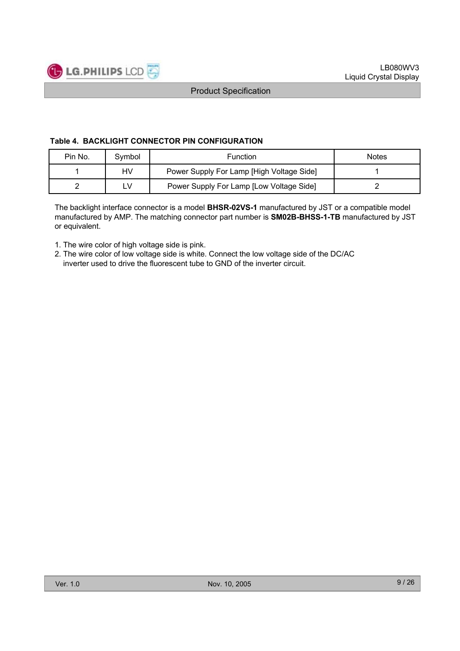

#### **Table 4. BACKLIGHT CONNECTOR PIN CONFIGURATION**

| Pin No. | Svmbol | <b>Function</b>                           | <b>Notes</b> |
|---------|--------|-------------------------------------------|--------------|
|         | HV     | Power Supply For Lamp [High Voltage Side] |              |
|         | ∟V     | Power Supply For Lamp [Low Voltage Side]  |              |

The backlight interface connector is a model **BHSR-02VS-1** manufactured by JST or a compatible model manufactured by AMP. The matching connector part number is **SM02B-BHSS-1-TB** manufactured by JST or equivalent.

- 1. The wire color of high voltage side is pink.
- 2. The wire color of low voltage side is white. Connect the low voltage side of the DC/AC inverter used to drive the fluorescent tube to GND of the inverter circuit.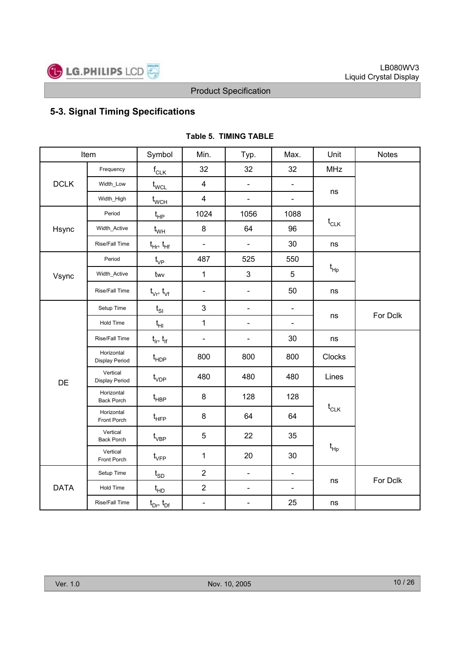

# **5-3. Signal Timing Specifications**

|             | Item                              | Symbol                          | Min.                         | Typ.                         | Max.           | Unit            | <b>Notes</b> |
|-------------|-----------------------------------|---------------------------------|------------------------------|------------------------------|----------------|-----------------|--------------|
|             | Frequency                         | $\mathsf{f}_{\mathsf{CLK}}$     | 32                           | 32                           | 32             | <b>MHz</b>      |              |
| <b>DCLK</b> | Width_Low                         | $t_{\text{WCL}}$                | $\overline{\mathbf{4}}$      | $\blacksquare$               | $\blacksquare$ |                 |              |
|             | Width_High                        | $t_{\scriptscriptstyle\rm WCH}$ | $\overline{\mathbf{4}}$      | $\qquad \qquad \blacksquare$ | $\blacksquare$ | ns              |              |
|             | Period                            | $t_{HP}$                        | 1024                         | 1056                         | 1088           |                 |              |
| Hsync       | Width_Active                      | $t_{WH}$                        | 8                            | 64                           | 96             | $t_{CLK}$       |              |
|             | Rise/Fall Time                    | $t_{\rm HF}$ , $t_{\rm HF}$     | $\qquad \qquad \blacksquare$ | $\qquad \qquad \blacksquare$ | 30             | ns              |              |
|             | Period                            | $t_{VP}$                        | 487                          | 525                          | 550            |                 |              |
| Vsync       | Width_Active                      | twv                             | $\mathbf{1}$                 | 3                            | 5              | $t_{\text{Hp}}$ |              |
|             | Rise/Fall Time                    | $t_{\vee r}$ , $t_{\vee f}$     | $\blacksquare$               | $\overline{\phantom{0}}$     | 50             | ns              |              |
| DE          | Setup Time                        | $t_{SI}$                        | 3                            | $\blacksquare$               | $\blacksquare$ |                 |              |
|             | Hold Time                         | $t_{HI}$                        | $\mathbf{1}$                 | $\overline{\phantom{0}}$     | $\blacksquare$ | ns              | For Dclk     |
|             | Rise/Fall Time                    | $t_{ir}$ , $t_{if}$             | $\qquad \qquad \blacksquare$ | ÷,                           | 30             | ns              |              |
|             | Horizontal<br>Display Period      | $t_{\sf HDP}$                   | 800                          | 800                          | 800            | Clocks          |              |
|             | Vertical<br><b>Display Period</b> | $t_{VDP}$                       | 480                          | 480                          | 480            | Lines           |              |
|             | Horizontal<br><b>Back Porch</b>   | $\mathfrak{t}_{\texttt{HBP}}$   | 8                            | 128                          | 128            |                 |              |
|             | Horizontal<br>Front Porch         | $\mathfrak{t}_{\texttt{HFP}}$   | 8                            | 64                           | 64             | $t_{CLK}$       |              |
|             | Vertical<br><b>Back Porch</b>     | $t_{\rm VBP}$                   | 5                            | 22                           | 35             |                 |              |
|             | Vertical<br>Front Porch           | $t_{\rm VFP}$                   | $\mathbf{1}$                 | 20                           | 30             | $t_{\sf Hp}$    |              |
|             | Setup Time                        | $t_{SD}$                        | $\overline{2}$               | $\blacksquare$               | $\blacksquare$ |                 | For Dclk     |
| <b>DATA</b> | Hold Time                         | $t_{HD}$                        | $\overline{c}$               | $\overline{\phantom{a}}$     | $\blacksquare$ | ns              |              |
|             | Rise/Fall Time                    | $t_{Dr}$ , $t_{Df}$             | $\qquad \qquad \blacksquare$ | -                            | 25             | ns              |              |

### **Table 5. TIMING TABLE**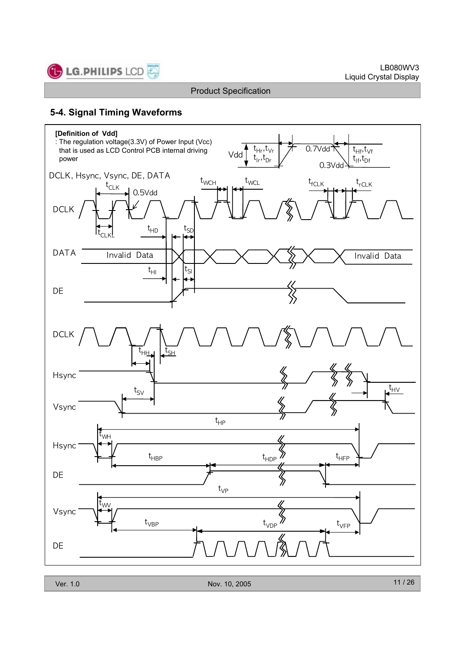

# **5-4. Signal Timing Waveforms**

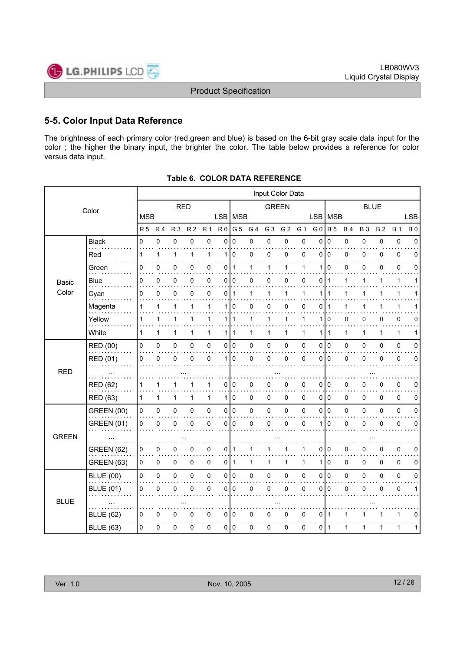

# **5-5. Color Input Data Reference**

The brightness of each primary color (red,green and blue) is based on the 6-bit gray scale data input for the color ; the higher the binary input, the brighter the color. The table below provides a reference for color versus data input.

|              |                   |                |             |                |                |                |                | Input Color Data |     |                |                |              |                 |              |              |             |           |              |             |
|--------------|-------------------|----------------|-------------|----------------|----------------|----------------|----------------|------------------|-----|----------------|----------------|--------------|-----------------|--------------|--------------|-------------|-----------|--------------|-------------|
|              | Color             |                |             | <b>RED</b>     |                |                |                |                  |     | <b>GREEN</b>   |                |              |                 |              |              | <b>BLUE</b> |           |              |             |
|              |                   | <b>MSB</b>     |             |                |                |                |                | LSB   MSB        |     |                |                |              | <b>LSB</b>      | <b>MSB</b>   |              |             |           |              | <b>LSB</b>  |
|              |                   | R <sub>5</sub> | <b>R4</b>   | R <sub>3</sub> | R <sub>2</sub> | R <sub>1</sub> | R <sub>0</sub> | G <sub>5</sub>   | G 4 | G <sub>3</sub> | G <sub>2</sub> | G 1          | G <sub>0</sub>  | <b>B</b> 5   | <b>B4</b>    | <b>B3</b>   | <b>B2</b> | <b>B</b> 1   | <b>B0</b>   |
|              | <b>Black</b>      | 0              | $\pmb{0}$   | 0              | $\pmb{0}$      | $\pmb{0}$      | 0              | $\mathbf 0$      | 0   | 0              | 0              | 0            | 0               | $\mathbf 0$  | 0            | 0           | 0         | $\pmb{0}$    | $\mathbf 0$ |
|              | Red               | 1              | 1           | $\mathbf{1}$   | 1              | $\mathbf{1}$   | 1              | 0                | 0   | 0              | 0              | $\mathbf 0$  | 0               | $\mathbf 0$  | 0            | 0           | 0         | 0            | 0           |
|              | Green             | 0              | 0           | 0              | 0              | 0              | 0              | $\mathbf{1}$     | 1   | 1              | 1              | 1            | 1               | $\Omega$     | 0            | 0           | 0         | $\mathbf 0$  | 0           |
| <b>Basic</b> | Blue              | 0              | $\mathbf 0$ | 0              | 0              | 0              | 0              | 0                | 0   | 0              | 0              | 0            | 0               | $\mathbf{1}$ | 1            | 1           | 1         | $\mathbf{1}$ | 1           |
| Color        | Cyan              | 0              | 0           | 0              | 0              | 0              | 0              | $\mathbf{1}$     | 1   | 1              | 1              | 1            | 1               | 1            | 1            | 1           | 1         | 1            |             |
|              | Magenta           | 1              | 1           | 1              | 1              | 1              | 1              | 0                | 0   | 0              | 0              | $\mathbf 0$  | 0               | $\mathbf 1$  | 1            | 1           | 1         | 1            |             |
|              | Yellow            | 1              | 1           | $\mathbf{1}$   | 1              | 1              | 1 <sup>1</sup> | $\mathbf{1}$     | 1   | 1              | $\mathbf{1}$   | 1            | 1               | $\mathbf 0$  | 0            | 0           | 0         | $\mathbf 0$  | 0           |
|              | White             | $\mathbf{1}$   | 1           | 1              | 1              | $\mathbf{1}$   | 1              | $\mathbf{1}$     | 1   | 1              | $\mathbf{1}$   | 1            | 1               | $\mathbf{1}$ | $\mathbf{1}$ | 1           | 1         | $\mathbf{1}$ | 1           |
|              | RED (00)          | 0              | 0           | 0              | 0              | 0              | 0              | $\mathbf 0$      | 0   | 0              | 0              | 0            | 0               | I٥           | 0            | 0           | 0         | $\mathbf 0$  | 0           |
|              | <b>RED (01)</b>   | 0              | $\mathbf 0$ | 0              | 0              | 0              | 1              | 0                | 0   | 0              | 0              | $\mathbf 0$  | 0               | $\mathbf 0$  | 0            | 0           | 0         | 0            | 0           |
| <b>RED</b>   |                   |                |             |                |                |                |                |                  |     |                |                |              |                 |              |              |             |           |              |             |
|              | <b>RED (62)</b>   | 1              |             | 1              |                | 1              | 0              | 0                | 0   | 0              | 0              | 0            | 0               | 0            | 0            | 0           | 0         | $\pmb{0}$    | 0           |
|              | <b>RED (63)</b>   | 1              | 1           | 1              | 1              | $\mathbf{1}$   | 1              | 0                | 0   | 0              | 0              | 0            | 0 <sup>10</sup> |              | 0            | 0           | 0         | $\mathbf 0$  | 0           |
|              | <b>GREEN (00)</b> | 0              | 0           | 0              | 0              | $\pmb{0}$      | 0              | $\mathbf 0$      | 0   | 0              | 0              | 0            | 0               | I٥           | 0            | 0           | 0         | $\pmb{0}$    | 0           |
|              | <b>GREEN (01)</b> | 0              | $\mathbf 0$ | 0              | 0              | 0              | 0              | $\mathbf 0$      | 0   | 0              | 0              | 0            | 1               | $\mathbf 0$  | 0            | 0           | 0         | $\mathbf 0$  | $\mathbf 0$ |
| <b>GREEN</b> |                   |                |             |                |                |                |                |                  |     |                |                |              |                 |              |              |             |           |              |             |
|              | <b>GREEN (62)</b> | 0              | 0           | 0              | 0              | 0              | 0              | 1                | 1   | 1              | 1              | 1            | 0               | ۱٥           | 0            | 0           | 0         | $\pmb{0}$    | 0           |
|              | <b>GREEN (63)</b> | 0              | 0           | 0              | 0              | 0              | 0              | $\mathbf{1}$     | 1   | 1              | 1              | $\mathbf{1}$ | 1               | $\mathbf 0$  | $\mathbf 0$  | 0           | 0         | $\mathbf 0$  | 0           |
|              | <b>BLUE (00)</b>  | 0              | 0           | 0              | 0              | $\pmb{0}$      | 0              | $\mathbf 0$      | 0   | $\pmb{0}$      | 0              | 0            | 0               | $\mathbf 0$  | 0            | 0           | 0         | $\pmb{0}$    | $\mathbf 0$ |
|              | <b>BLUE (01)</b>  | 0              | $\pmb{0}$   | 0              | 0              | $\mathsf 0$    | 0              | $\mathbf 0$      | 0   | 0              | 0              | $\pmb{0}$    | 0               | I٥           | 0            | 0           | 0         | $\pmb{0}$    | 1           |
| <b>BLUE</b>  |                   |                |             |                |                |                |                |                  |     |                |                |              |                 |              |              |             |           |              |             |
|              | <b>BLUE (62)</b>  | 0              | 0           | 0              | 0              | $\pmb{0}$      | 0              | $\mathbf 0$      | 0   | 0              | 0              | 0            | 0               | l 1          | 1            | 1           | 1         | $\mathbf 1$  | 0           |
|              | <b>BLUE (63)</b>  | 0              | 0           | 0              | 0              | 0              | 0              | 0                | 0   | 0              | 0              | 0            | 0               | l 1          | 1            | 1           | 1         | 1            | 1           |
|              |                   |                |             |                |                |                |                |                  |     |                |                |              |                 |              |              |             |           |              |             |

**Table 6. COLOR DATA REFERENCE**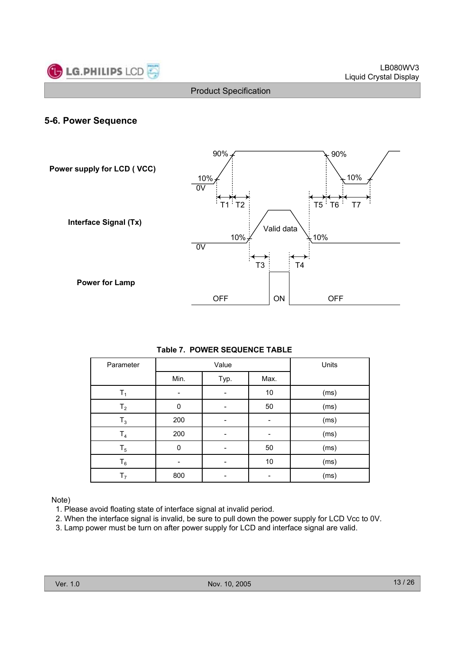

### **5-6. Power Sequence**



### **Table 7. POWER SEQUENCE TABLE**

| Parameter      |             | Value | Units |      |
|----------------|-------------|-------|-------|------|
|                | Min.        | Typ.  | Max.  |      |
| Τ,             |             |       | 10    | (ms) |
| T <sub>2</sub> | 0           |       | 50    | (ms) |
| $T_3$          | 200         |       |       | (ms) |
| T <sub>4</sub> | 200         |       |       | (ms) |
| $T_5$          | $\mathbf 0$ |       | 50    | (ms) |
| $\mathsf{T}_6$ |             |       | 10    | (ms) |
| T <sub>7</sub> | 800         |       |       | (ms) |

Note)

1. Please avoid floating state of interface signal at invalid period.

2. When the interface signal is invalid, be sure to pull down the power supply for LCD Vcc to 0V.

3. Lamp power must be turn on after power supply for LCD and interface signal are valid.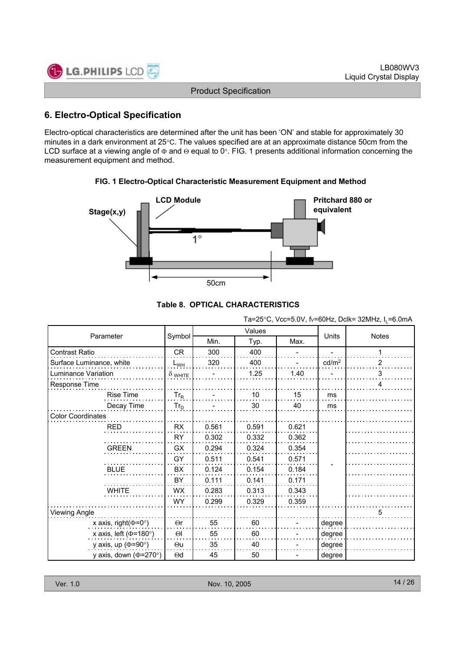| <b>C</b> LG.PHILIPS LCD      | LB080WV3               |
|------------------------------|------------------------|
|                              | Liquid Crystal Display |
| <b>Product Specification</b> |                        |
|                              |                        |

# **6. Electro-Optical Specification**

Electro-optical characteristics are determined after the unit has been 'ON' and stable for approximately 30 minutes in a dark environment at 25°C. The values specified are at an approximate distance 50cm from the LCD surface at a viewing angle of  $\Phi$  and  $\Theta$  equal to 0°. FIG. 1 presents additional information concerning the measurement equipment and method.





# **Table 8. OPTICAL CHARACTERISTICS**

Ta=25°C, Vcc=5.0V, fv=60Hz, Dclk= 32MHz,  $I_1$ =6.0mA

|                              |                |       | Values       | <b>Units</b> | <b>Notes</b>      |   |
|------------------------------|----------------|-------|--------------|--------------|-------------------|---|
| Parameter                    | Symbol         | Min.  | Max.<br>Typ. |              |                   |   |
| Contrast Ratio               | <b>CR</b>      | 300   | 400          |              |                   |   |
| Surface Luminance, white     | $L_{WH}$       | 320   | 400          |              | cd/m <sup>2</sup> | 2 |
| Luminance Variation          | $\delta$ white |       | 1.25         | 1.40         |                   | 3 |
| Response Time                |                |       |              |              |                   | 4 |
| <b>Rise Time</b>             | $Tr_R$         |       | 10           | 15           | ms                |   |
| Decay Time                   | $Tr_D$         |       | 30           | 40           | ms                |   |
| <b>Color Coordinates</b>     |                |       |              |              |                   |   |
| <b>RED</b>                   | <b>RX</b>      | 0.561 | 0.591        | 0.621        |                   |   |
|                              | RY             | 0.302 | 0.332        | 0.362        |                   |   |
| <b>GREEN</b>                 | GX             | 0.294 | 0.324        | 0.354        |                   |   |
|                              | GY             | 0.511 | 0.541        | 0.571        |                   |   |
| <b>BLUE</b>                  | BX             | 0.124 | 0.154        | 0.184        |                   |   |
|                              | BY             | 0.111 | 0.141        | 0.171        |                   |   |
| <b>WHITE</b>                 | <b>WX</b>      | 0.283 | 0.313        | 0.343        |                   |   |
|                              | <b>WY</b>      | 0.299 | 0.329        | 0.359        |                   |   |
| <b>Viewing Angle</b>         |                |       |              |              |                   | 5 |
| x axis, right( $\Phi$ =0°)   | $\Theta$ r     | 55    | 60           |              | degree            |   |
| x axis, left ( $\Phi$ =180°) | $\Theta$       | 55    | 60           |              | degree            |   |
| y axis, up ( $\Phi$ =90°)    | $\Theta$ u     | 35    | 40           |              | degree            |   |
| y axis, down ( $\Phi$ =270°) | $\Theta$ d     | 45    | 50           |              | degree            |   |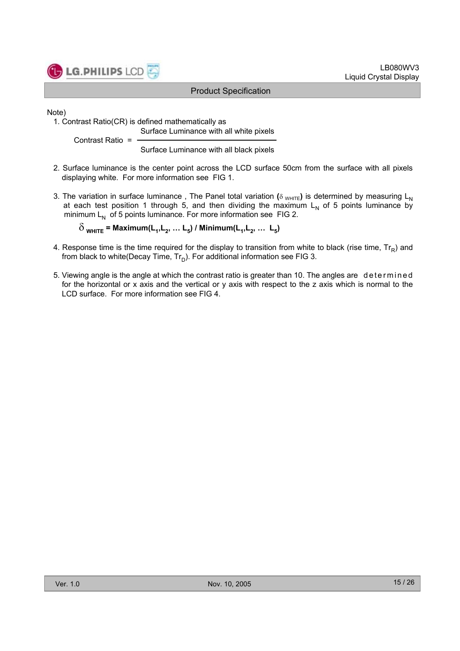

Note)

1. Contrast Ratio(CR) is defined mathematically as Surface Luminance with all white pixels

Contrast Ratio =

Surface Luminance with all black pixels

- 2. Surface luminance is the center point across the LCD surface 50cm from the surface with all pixels displaying white. For more information see FIG 1.
- 3. The variation in surface luminance, The Panel total variation ( $\delta$  WHITE) is determined by measuring L<sub>N</sub> at each test position 1 through 5, and then dividing the maximum  $L<sub>N</sub>$  of 5 points luminance by minimum  $L_N$  of 5 points luminance. For more information see FIG 2.

 $\delta$ <sub>WHITE</sub> = Maximum(L<sub>1</sub>, L<sub>2</sub>, ... L<sub>5</sub>) / Minimum(L<sub>1</sub>, L<sub>2</sub>, ... L<sub>5</sub>)

- 4. Response time is the time required for the display to transition from white to black (rise time,  $Tr_B$ ) and from black to white(Decay Time,  $Tr_D$ ). For additional information see FIG 3.
- 5. Viewing angle is the angle at which the contrast ratio is greater than 10. The angles are determined for the horizontal or x axis and the vertical or y axis with respect to the z axis which is normal to the LCD surface. For more information see FIG 4.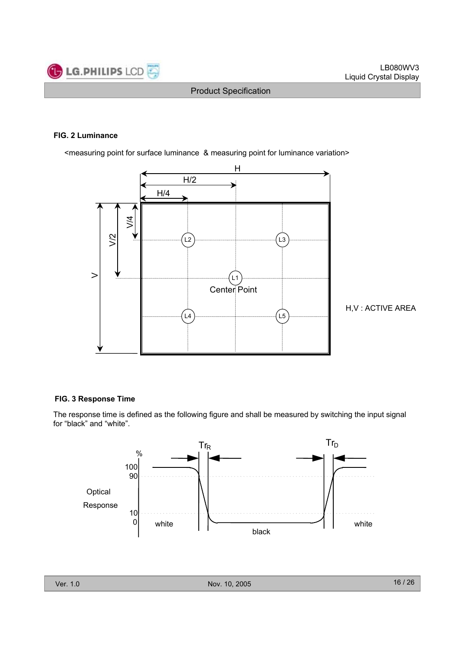

#### **FIG. 2 Luminance**

<measuring point for surface luminance & measuring point for luminance variation>



H,V : ACTIVE AREA

### **FIG. 3 Response Time**

The response time is defined as the following figure and shall be measured by switching the input signal for "black" and "white".

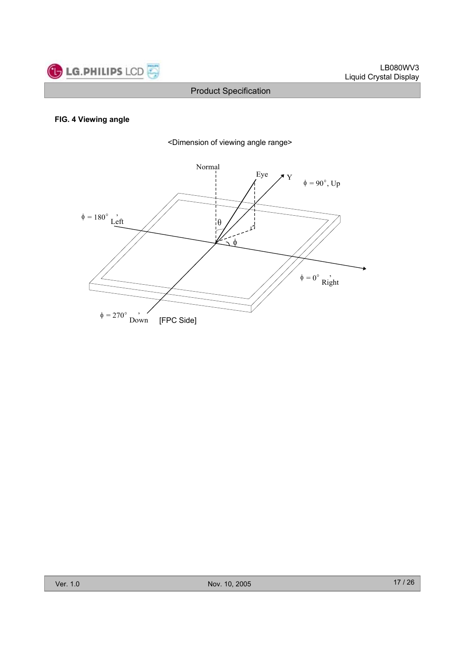

### **FIG. 4 Viewing angle**



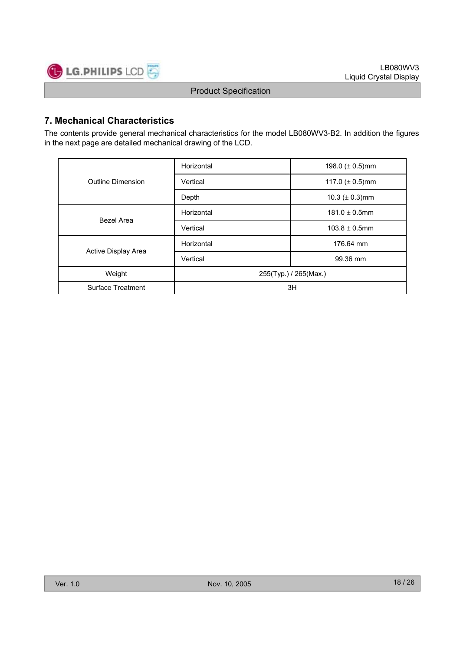

# **7. Mechanical Characteristics**

The contents provide general mechanical characteristics for the model LB080WV3-B2. In addition the figures in the next page are detailed mechanical drawing of the LCD.

|                     | Horizontal            | 198.0 $(\pm 0.5)$ mm |  |  |  |
|---------------------|-----------------------|----------------------|--|--|--|
| Outline Dimension   | Vertical              | 117.0 $(\pm 0.5)$ mm |  |  |  |
|                     | Depth                 | 10.3 ( $\pm$ 0.3)mm  |  |  |  |
|                     | Horizontal            | $181.0 \pm 0.5$ mm   |  |  |  |
| Bezel Area          | Vertical              | $103.8 \pm 0.5$ mm   |  |  |  |
|                     | Horizontal            | 176.64 mm            |  |  |  |
| Active Display Area | Vertical              | 99.36 mm             |  |  |  |
| Weight              | 255(Typ.) / 265(Max.) |                      |  |  |  |
| Surface Treatment   | 3H                    |                      |  |  |  |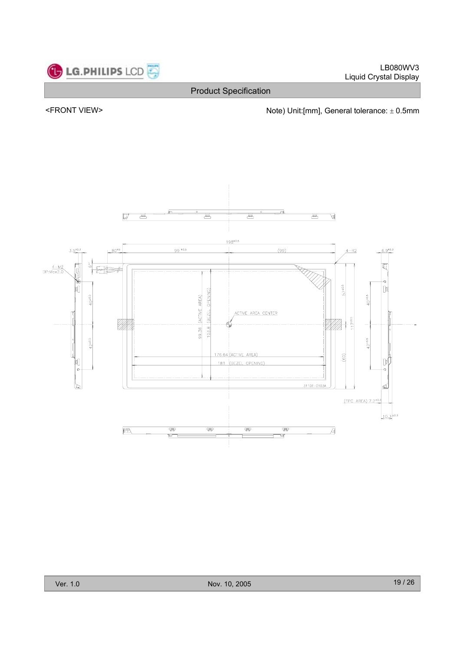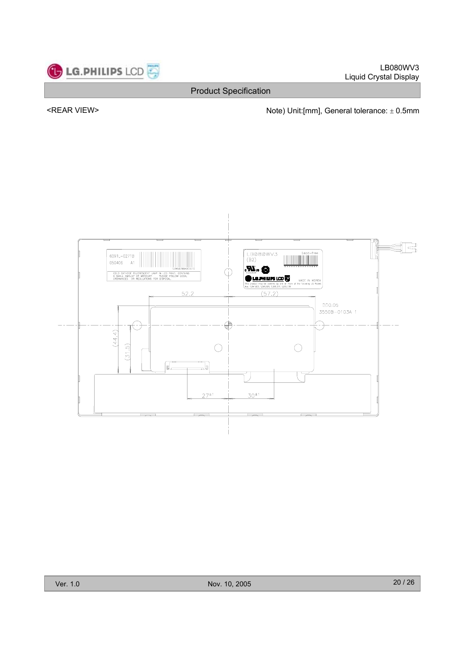

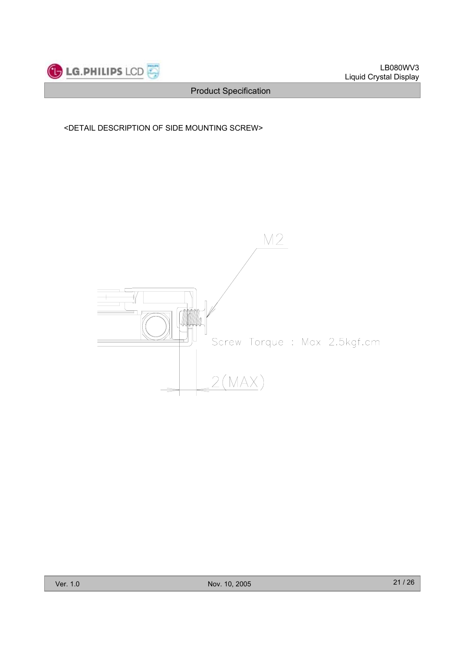

### <DETAIL DESCRIPTION OF SIDE MOUNTING SCREW>

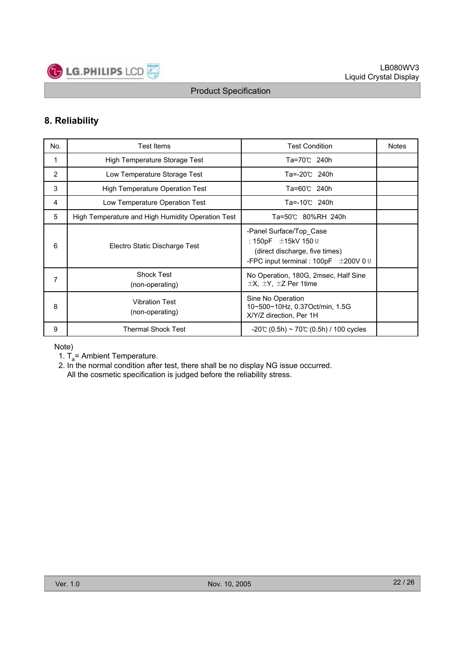

# **8. Reliability**

| No. | Test Items                                        | <b>Test Condition</b>                                                                                                                             | <b>Notes</b> |
|-----|---------------------------------------------------|---------------------------------------------------------------------------------------------------------------------------------------------------|--------------|
| 1   | High Temperature Storage Test                     | Ta=70℃ 240h                                                                                                                                       |              |
| 2   | Low Temperature Storage Test                      | Ta=-20℃ 240h                                                                                                                                      |              |
| 3   | <b>High Temperature Operation Test</b>            | Ta=60℃ 240h                                                                                                                                       |              |
| 4   | Low Temperature Operation Test                    | Ta=-10℃ 240h                                                                                                                                      |              |
| 5   | High Temperature and High Humidity Operation Test | Ta=50℃ 80%RH 240h                                                                                                                                 |              |
| 6   | Electro Static Discharge Test                     | -Panel Surface/Top Case<br>: 150pF $\pm$ 15kV 150 $\Omega$<br>(direct discharge, five times)<br>-FPC input terminal : 100pF $\pm$ 200V 0 $\Omega$ |              |
| 7   | <b>Shock Test</b><br>(non-operating)              | No Operation, 180G, 2msec, Half Sine<br>$\pm$ X, $\pm$ Y, $\pm$ Z Per 1time                                                                       |              |
| 8   | <b>Vibration Test</b><br>(non-operating)          | Sine No Operation<br>10~500~10Hz, 0.37Oct/min, 1.5G<br>X/Y/Z direction, Per 1H                                                                    |              |
| 9   | <b>Thermal Shock Test</b>                         | $-20$ °C (0.5h) ~ 70°C (0.5h) / 100 cycles                                                                                                        |              |

Note)

- 1.  $T_a$ = Ambient Temperature.
- 2. In the normal condition after test, there shall be no display NG issue occurred. All the cosmetic specification is judged before the reliability stress.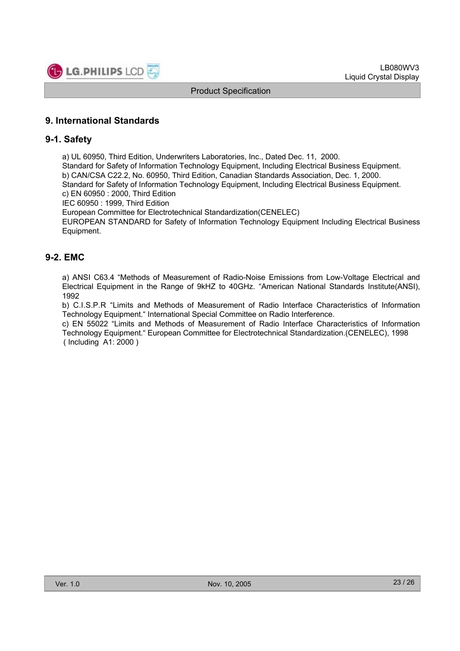

# **9. International Standards**

### **9-1. Safety**

a) UL 60950, Third Edition, Underwriters Laboratories, Inc., Dated Dec. 11, 2000.

Standard for Safety of Information Technology Equipment, Including Electrical Business Equipment. b) CAN/CSA C22.2, No. 60950, Third Edition, Canadian Standards Association, Dec. 1, 2000. Standard for Safety of Information Technology Equipment, Including Electrical Business Equipment.

c) EN 60950 : 2000, Third Edition

IEC 60950 : 1999, Third Edition

European Committee for Electrotechnical Standardization(CENELEC)

EUROPEAN STANDARD for Safety of Information Technology Equipment Including Electrical Business Equipment.

# **9-2. EMC**

a) ANSI C63.4 "Methods of Measurement of Radio-Noise Emissions from Low-Voltage Electrical and Electrical Equipment in the Range of 9kHZ to 40GHz. "American National Standards Institute(ANSI), 1992

b) C.I.S.P.R "Limits and Methods of Measurement of Radio Interface Characteristics of Information Technology Equipment." International Special Committee on Radio Interference.

c) EN 55022 "Limits and Methods of Measurement of Radio Interface Characteristics of Information Technology Equipment." European Committee for Electrotechnical Standardization.(CENELEC), 1998 ( Including A1: 2000 )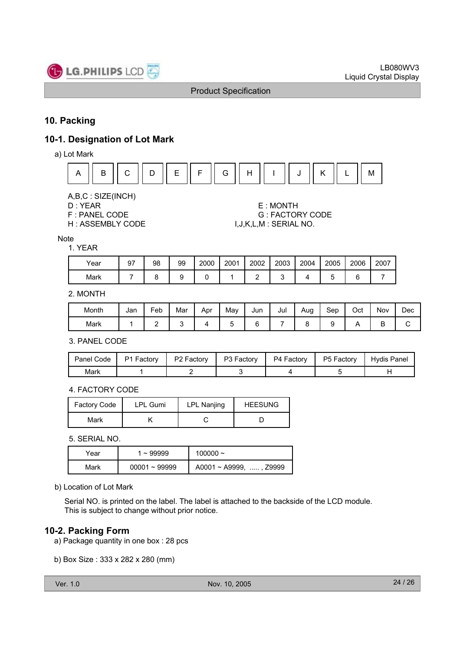

# **10. Packing**

# **10-1. Designation of Lot Mark**

a) Lot Mark



A,B,C : SIZE(INCH)

D : YEAR E : MONTH F : PANEL CODE G : FACTORY CODE<br>H : ASSEMBLY CODE G G GU, L, M : SERIAL NO. I, J, K, L, M: SERIAL NO.

### **Note**

| <b>YEAR</b> |    |    |    |      |      |        |      |      |      |      |      |
|-------------|----|----|----|------|------|--------|------|------|------|------|------|
| Year        | 97 | 98 | 99 | 2000 | 2001 | 2002   | 2003 | 2004 | 2005 | 2006 | 2007 |
| Mark        |    |    | 9  |      |      | ⌒<br>- | ື    |      | ∽    | 6    |      |

2. MONTH

| Month | Jan | $\overline{\phantom{0}}$<br>Feb | Mar | Apr | May | Jun | Jul | Aug | Sep | Oct | Nov    | Dec |
|-------|-----|---------------------------------|-----|-----|-----|-----|-----|-----|-----|-----|--------|-----|
| Mark  |     | -                               |     |     | ັ   |     |     |     |     |     | -<br>⋍ | ັ   |

3. PANEL CODE

| Panel Code | P1 Factory | P <sub>2</sub> Factory | P3 Factory | P4 Factory | P5 Factory | Hydis Panel |
|------------|------------|------------------------|------------|------------|------------|-------------|
| Mark       |            |                        |            |            |            |             |

4. FACTORY CODE

| Factory Code | LPL Gumi | LPL Nanjing | <b>HEESUNG</b> |
|--------------|----------|-------------|----------------|
| Mark         |          |             |                |

5. SERIAL NO.

| Year | $\sim 99999$    | $100000 -$                   |
|------|-----------------|------------------------------|
| Mark | $00001 - 99999$ | $A0001 \sim A9999$ , , Z9999 |

b) Location of Lot Mark

Serial NO. is printed on the label. The label is attached to the backside of the LCD module. This is subject to change without prior notice.

# **10-2. Packing Form**

- a) Package quantity in one box : 28 pcs
- b) Box Size : 333 x 282 x 280 (mm)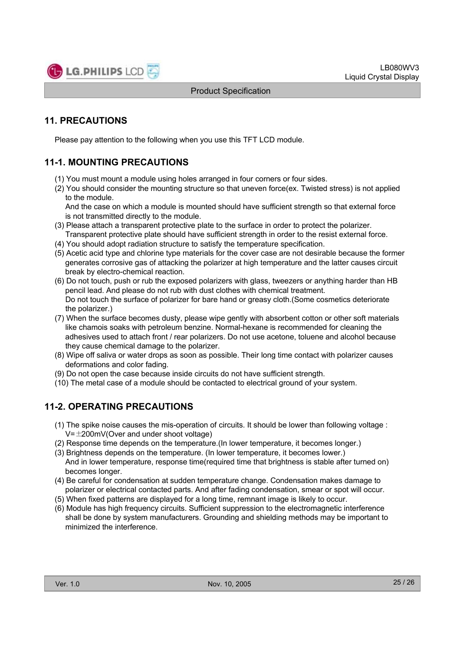

# **11. PRECAUTIONS**

Please pay attention to the following when you use this TFT LCD module.

# **11-1. MOUNTING PRECAUTIONS**

- (1) You must mount a module using holes arranged in four corners or four sides.
- (2) You should consider the mounting structure so that uneven force(ex. Twisted stress) is not applied to the module.

And the case on which a module is mounted should have sufficient strength so that external force is not transmitted directly to the module.

- (3) Please attach a transparent protective plate to the surface in order to protect the polarizer. Transparent protective plate should have sufficient strength in order to the resist external force.
- (4) You should adopt radiation structure to satisfy the temperature specification.
- (5) Acetic acid type and chlorine type materials for the cover case are not desirable because the former generates corrosive gas of attacking the polarizer at high temperature and the latter causes circuit break by electro-chemical reaction.
- (6) Do not touch, push or rub the exposed polarizers with glass, tweezers or anything harder than HB pencil lead. And please do not rub with dust clothes with chemical treatment. Do not touch the surface of polarizer for bare hand or greasy cloth.(Some cosmetics deteriorate the polarizer.)
- (7) When the surface becomes dusty, please wipe gently with absorbent cotton or other soft materials like chamois soaks with petroleum benzine. Normal-hexane is recommended for cleaning the adhesives used to attach front / rear polarizers. Do not use acetone, toluene and alcohol because they cause chemical damage to the polarizer.
- (8) Wipe off saliva or water drops as soon as possible. Their long time contact with polarizer causes deformations and color fading.
- (9) Do not open the case because inside circuits do not have sufficient strength.
- (10) The metal case of a module should be contacted to electrical ground of your system.

# **11-2. OPERATING PRECAUTIONS**

- (1) The spike noise causes the mis-operation of circuits. It should be lower than following voltage :  $V=\pm 200$ mV(Over and under shoot voltage)
- (2) Response time depends on the temperature.(In lower temperature, it becomes longer.)
- (3) Brightness depends on the temperature. (In lower temperature, it becomes lower.) And in lower temperature, response time(required time that brightness is stable after turned on) becomes longer.
- (4) Be careful for condensation at sudden temperature change. Condensation makes damage to polarizer or electrical contacted parts. And after fading condensation, smear or spot will occur.
- (5) When fixed patterns are displayed for a long time, remnant image is likely to occur.
- (6) Module has high frequency circuits. Sufficient suppression to the electromagnetic interference shall be done by system manufacturers. Grounding and shielding methods may be important to minimized the interference.